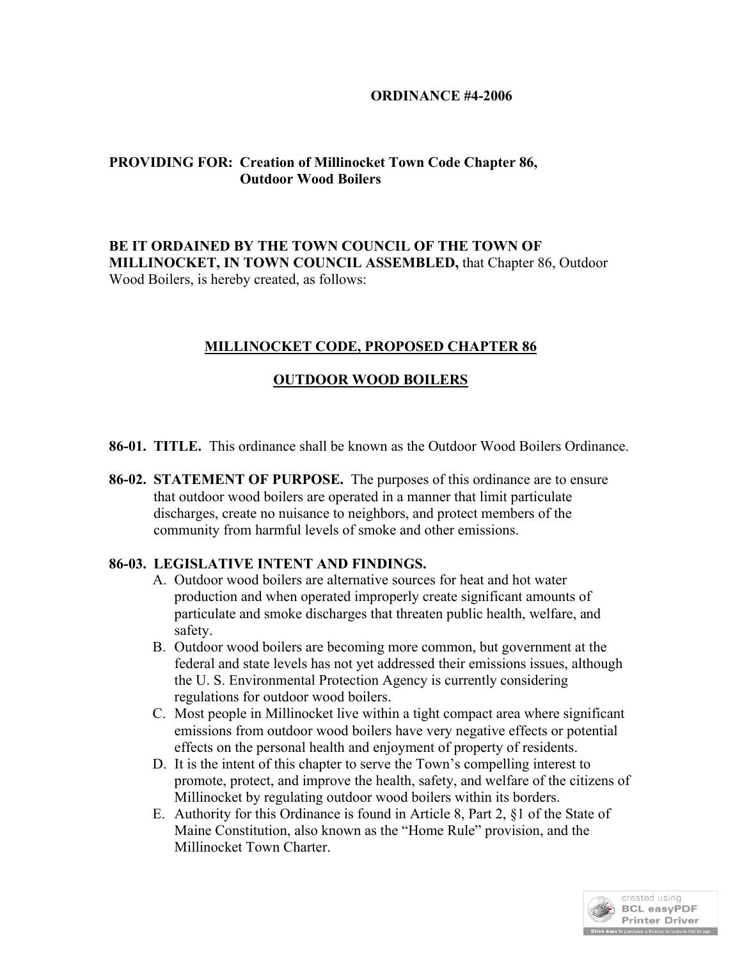#### **ORDINANCE #4-2006**

# **PROVIDING FOR: Creation of Millinocket Town Code Chapter 86, Outdoor Wood Boilers**

BE IT ORDAINED BY THE TOWN COUNCIL OF THE TOWN OF **MILLINOCKET, IN TOWN COUNCIL ASSEMBLED,** that Chapter 86, Outdoor Wood Boilers, is hereby created, as follows:

## **MILLINOCKET CODE, PROPOSED CHAPTER 86**

## **OUTDOOR WOOD BOILERS**

- **86-01. TITLE.** This ordinance shall be known as the Outdoor Wood Boilers Ordinance.
- **86-02. STATEMENT OF PURPOSE.** The purposes of this ordinance are to ensure that outdoor wood boilers are operated in a manner that limit particulate discharges, create no nuisance to neighbors, and protect members of the community from harmful levels of smoke and other emissions.

## **86-03. LEGISLATIVE INTENT AND FINDINGS.**

- A. Outdoor wood boilers are alternative sources for heat and hot water production and when operated improperly create significant amounts of particulate and smoke discharges that threaten public health, welfare, and safety.
- B. Outdoor wood boilers are becoming more common, but government at the federal and state levels has not yet addressed their emissions issues, although the U. S. Environmental Protection Agency is currently considering regulations for outdoor wood boilers.
- C. Most people in Millinocket live within a tight compact area where significant emissions from outdoor wood boilers have very negative effects or potential effects on the personal health and enjoyment of property of residents.
- D. It is the intent of this chapter to serve the Town's compelling interest to promote, protect, and improve the health, safety, and welfare of the citizens of Millinocket by regulating outdoor wood boilers within its borders.
- E. Authority for this Ordinance is found in Article 8, Part 2, §1 of the State of Maine Constitution, also known as the "Home Rule" provision, and the Millinocket Town Charter.

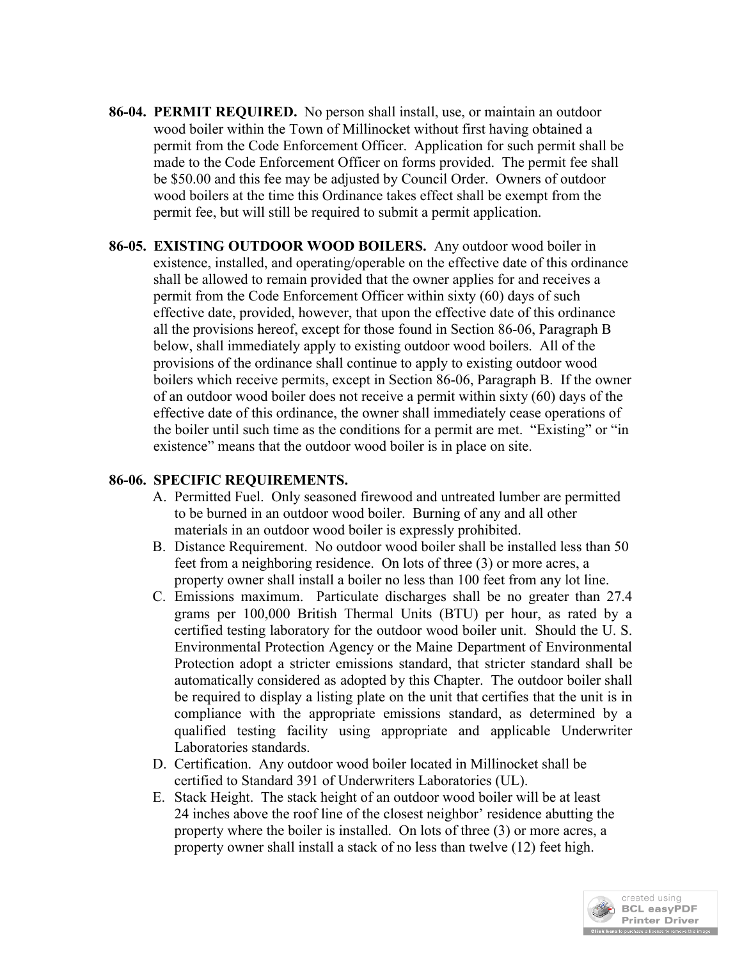- **86-04. PERMIT REQUIRED.** No person shall install, use, or maintain an outdoor wood boiler within the Town of Millinocket without first having obtained a permit from the Code Enforcement Officer. Application for such permit shall be made to the Code Enforcement Officer on forms provided. The permit fee shall be \$50.00 and this fee may be adjusted by Council Order. Owners of outdoor wood boilers at the time this Ordinance takes effect shall be exempt from the permit fee, but will still be required to submit a permit application.
- **86-05. EXISTING OUTDOOR WOOD BOILERS.** Any outdoor wood boiler in existence, installed, and operating/operable on the effective date of this ordinance shall be allowed to remain provided that the owner applies for and receives a permit from the Code Enforcement Officer within sixty (60) days of such effective date, provided, however, that upon the effective date of this ordinance all the provisions hereof, except for those found in Section 86-06, Paragraph B below, shall immediately apply to existing outdoor wood boilers. All of the provisions of the ordinance shall continue to apply to existing outdoor wood boilers which receive permits, except in Section 86-06, Paragraph B. If the owner of an outdoor wood boiler does not receive a permit within sixty (60) days of the effective date of this ordinance, the owner shall immediately cease operations of the boiler until such time as the conditions for a permit are met. "Existing" or "in existence" means that the outdoor wood boiler is in place on site.

#### **86-06. SPECIFIC REQUIREMENTS.**

- A. Permitted Fuel. Only seasoned firewood and untreated lumber are permitted to be burned in an outdoor wood boiler. Burning of any and all other materials in an outdoor wood boiler is expressly prohibited.
- B. Distance Requirement. No outdoor wood boiler shall be installed less than 50 feet from a neighboring residence. On lots of three (3) or more acres, a property owner shall install a boiler no less than 100 feet from any lot line.
- C. Emissions maximum. Particulate discharges shall be no greater than 27.4 grams per 100,000 British Thermal Units (BTU) per hour, as rated by a certified testing laboratory for the outdoor wood boiler unit. Should the U. S. Environmental Protection Agency or the Maine Department of Environmental Protection adopt a stricter emissions standard, that stricter standard shall be automatically considered as adopted by this Chapter. The outdoor boiler shall be required to display a listing plate on the unit that certifies that the unit is in compliance with the appropriate emissions standard, as determined by a qualified testing facility using appropriate and applicable Underwriter Laboratories standards.
- D. Certification. Any outdoor wood boiler located in Millinocket shall be certified to Standard 391 of Underwriters Laboratories (UL).
- E. Stack Height. The stack height of an outdoor wood boiler will be at least 24 inches above the roof line of the closest neighbor' residence abutting the property where the boiler is installed. On lots of three (3) or more acres, a property owner shall install a stack of no less than twelve (12) feet high.

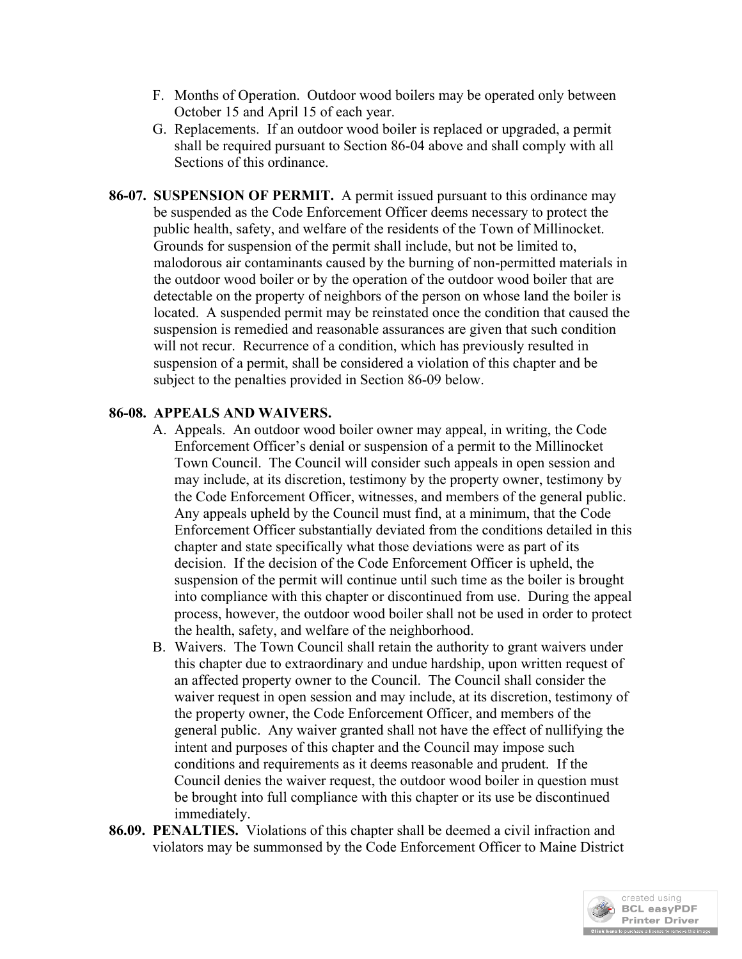- F. Months of Operation. Outdoor wood boilers may be operated only between October 15 and April 15 of each year.
- G. Replacements. If an outdoor wood boiler is replaced or upgraded, a permit shall be required pursuant to Section 86-04 above and shall comply with all Sections of this ordinance.
- **86-07. SUSPENSION OF PERMIT.** A permit issued pursuant to this ordinance may be suspended as the Code Enforcement Officer deems necessary to protect the public health, safety, and welfare of the residents of the Town of Millinocket. Grounds for suspension of the permit shall include, but not be limited to, malodorous air contaminants caused by the burning of non-permitted materials in the outdoor wood boiler or by the operation of the outdoor wood boiler that are detectable on the property of neighbors of the person on whose land the boiler is located. A suspended permit may be reinstated once the condition that caused the suspension is remedied and reasonable assurances are given that such condition will not recur. Recurrence of a condition, which has previously resulted in suspension of a permit, shall be considered a violation of this chapter and be subject to the penalties provided in Section 86-09 below.

## **86-08. APPEALS AND WAIVERS.**

- A. Appeals. An outdoor wood boiler owner may appeal, in writing, the Code Enforcement Officer's denial or suspension of a permit to the Millinocket Town Council. The Council will consider such appeals in open session and may include, at its discretion, testimony by the property owner, testimony by the Code Enforcement Officer, witnesses, and members of the general public. Any appeals upheld by the Council must find, at a minimum, that the Code Enforcement Officer substantially deviated from the conditions detailed in this chapter and state specifically what those deviations were as part of its decision. If the decision of the Code Enforcement Officer is upheld, the suspension of the permit will continue until such time as the boiler is brought into compliance with this chapter or discontinued from use. During the appeal process, however, the outdoor wood boiler shall not be used in order to protect the health, safety, and welfare of the neighborhood.
- B. Waivers. The Town Council shall retain the authority to grant waivers under this chapter due to extraordinary and undue hardship, upon written request of an affected property owner to the Council. The Council shall consider the waiver request in open session and may include, at its discretion, testimony of the property owner, the Code Enforcement Officer, and members of the general public. Any waiver granted shall not have the effect of nullifying the intent and purposes of this chapter and the Council may impose such conditions and requirements as it deems reasonable and prudent. If the Council denies the waiver request, the outdoor wood boiler in question must be brought into full compliance with this chapter or its use be discontinued immediately.
- **86.09. PENALTIES.** Violations of this chapter shall be deemed a civil infraction and violators may be summonsed by the Code Enforcement Officer to Maine District

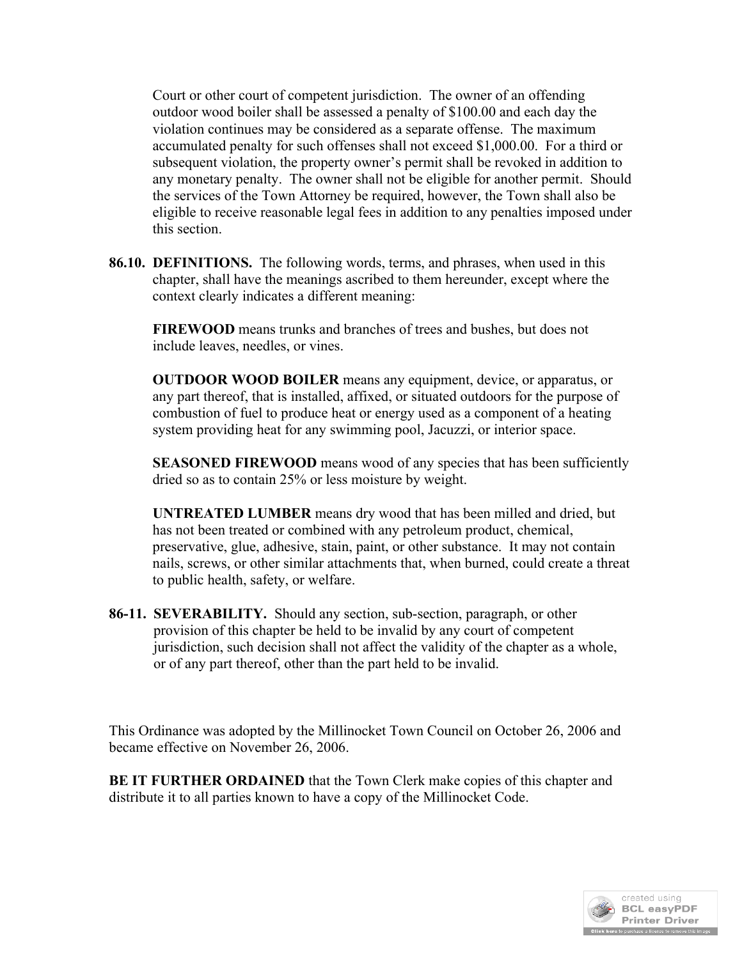Court or other court of competent jurisdiction. The owner of an offending outdoor wood boiler shall be assessed a penalty of \$100.00 and each day the violation continues may be considered as a separate offense. The maximum accumulated penalty for such offenses shall not exceed \$1,000.00. For a third or subsequent violation, the property owner's permit shall be revoked in addition to any monetary penalty. The owner shall not be eligible for another permit. Should the services of the Town Attorney be required, however, the Town shall also be eligible to receive reasonable legal fees in addition to any penalties imposed under this section.

**86.10. DEFINITIONS.** The following words, terms, and phrases, when used in this chapter, shall have the meanings ascribed to them hereunder, except where the context clearly indicates a different meaning:

**FIREWOOD** means trunks and branches of trees and bushes, but does not include leaves, needles, or vines.

**OUTDOOR WOOD BOILER** means any equipment, device, or apparatus, or any part thereof, that is installed, affixed, or situated outdoors for the purpose of combustion of fuel to produce heat or energy used as a component of a heating system providing heat for any swimming pool, Jacuzzi, or interior space.

**SEASONED FIREWOOD** means wood of any species that has been sufficiently dried so as to contain 25% or less moisture by weight.

**UNTREATED LUMBER** means dry wood that has been milled and dried, but has not been treated or combined with any petroleum product, chemical, preservative, glue, adhesive, stain, paint, or other substance. It may not contain nails, screws, or other similar attachments that, when burned, could create a threat to public health, safety, or welfare.

**86-11. SEVERABILITY.** Should any section, sub-section, paragraph, or other provision of this chapter be held to be invalid by any court of competent jurisdiction, such decision shall not affect the validity of the chapter as a whole, or of any part thereof, other than the part held to be invalid.

This Ordinance was adopted by the Millinocket Town Council on October 26, 2006 and became effective on November 26, 2006.

**BE IT FURTHER ORDAINED** that the Town Clerk make copies of this chapter and distribute it to all parties known to have a copy of the Millinocket Code.